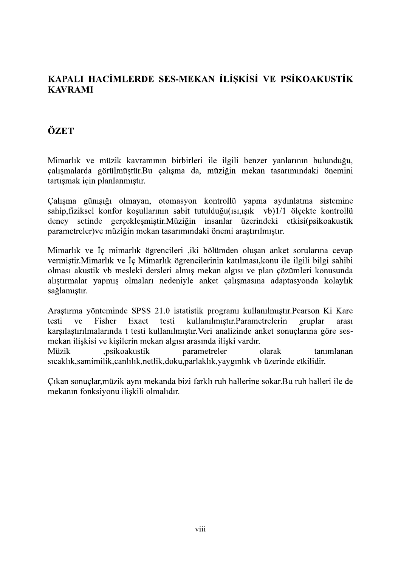## KAPALI HACİMLERDE SES-MEKAN İLİSKİSİ VE PSİKOAKUSTİK **KAVRAMI**

## ÖZET

Mimarlık ve müzik kavramının birbirleri ile ilgili benzer yanlarının bulunduğu, çalışmalarda görülmüştür.Bu çalışma da, müziğin mekan tasarımındaki önemini tartısmak için planlanmıştır.

Calisma günisiği olmayan, otomasyon kontrollü yapma aydınlatma sistemine sahip, fiziksel konfor koşullarının sabit tutulduğu(ısı, ışık vb) 1/1 ölçekte kontrollü setinde gerçeklesmiştir.Müziğin insanlar üzerindeki etkisi(psikoakustik deney parametreler) ve müziğin mekan tasarımındaki önemi araştırılmıştır.

Mimarlık ve İç mimarlık ögrencileri ,iki bölümden oluşan anket sorularına cevap vermiştir. Mimarlık ve İç Mimarlık ögrencilerinin katılması, konu ile ilgili bilgi sahibi olması akustik vb mesleki dersleri almış mekan algısı ve plan çözümleri konusunda alıştırmalar yapmış olmaları nedeniyle anket çalışmasına adaptasyonda kolaylık sağlamıştır.

Araştırma yönteminde SPSS 21.0 istatistik programı kullanılmıştır. Pearson Ki Kare kullanılmıştır.Parametrelerin testi ve Fisher Exact testi gruplar arası karşılaştırılmalarında t testi kullanılmıştır. Veri analizinde anket sonuçlarına göre sesmekan ilişkisi ve kişilerin mekan algısı arasında ilişki vardır.

.psikoakustik parametreler Müzik olarak tanımlanan sıcaklık, samimilik, canlılık, netlik, doku, parlaklık, yaygınlık vb üzerinde etkilidir.

Cikan sonuçlar, müzik aynı mekanda bizi farklı ruh hallerine sokar. Bu ruh halleri ile de mekanın fonksiyonu ilişkili olmalıdır.